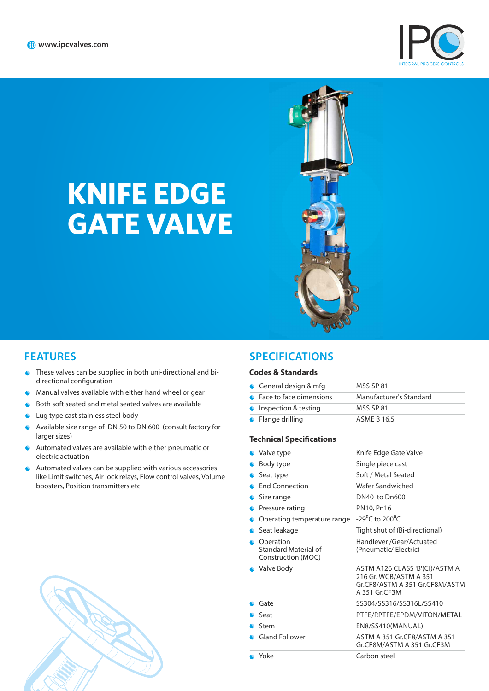

# **KNIFE EDGE GATE VALVE**



- These valves can be supplied in both uni-directional and bi- $\bullet$ directional configuration
- Manual valves available with either hand wheel or gear
- Both soft seated and metal seated valves are available ö
- $\bullet$ Lug type cast stainless steel body
- Available size range of DN 50 to DN 600 (consult factory for Ċ larger sizes)
- Automated valves are available with either pneumatic or  $\bullet$ electric actuation
- Automated valves can be supplied with various accessories  $\bullet$ like Limit switches, Air lock relays, Flow control valves, Volume boosters, Position transmitters etc.



## **FEATURES SPECIFICATIONS**

#### **Codes & Standards**

| General design $&$ mfg    | MSS SP 81               |
|---------------------------|-------------------------|
| • Face to face dimensions | Manufacturer's Standard |
| • Inspection & testing    | <b>MSS SP 81</b>        |
| • Flange drilling         | <b>ASME B 16.5</b>      |

#### **Technical Specifications**

| Valve type                                              | Knife Edge Gate Valve                                                                                       |
|---------------------------------------------------------|-------------------------------------------------------------------------------------------------------------|
| Body type                                               | Single piece cast                                                                                           |
| Seat type                                               | Soft / Metal Seated                                                                                         |
| <b>End Connection</b>                                   | Wafer Sandwiched                                                                                            |
| Size range                                              | DN40 to Dn600                                                                                               |
| Pressure rating                                         | PN10, Pn16                                                                                                  |
| Operating temperature range                             | $-29^{\circ}$ C to 200 $^{\circ}$ C                                                                         |
| Seat leakage                                            | Tight shut of (Bi-directional)                                                                              |
| Operation<br>Standard Material of<br>Construction (MOC) | Handlever /Gear/Actuated<br>(Pneumatic/Electric)                                                            |
| • Valve Body                                            | ASTM A126 CLASS 'B'(CI)/ASTM A<br>216 Gr. WCB/ASTM A 351<br>Gr.CF8/ASTM A 351 Gr.CF8M/ASTM<br>A 351 Gr.CF3M |
| Gate                                                    | SS304/SS316/SS316L/SS410                                                                                    |
| Seat                                                    | PTFE/RPTFE/EPDM/VITON/METAL                                                                                 |
| Stem                                                    | EN8/SS410(MANUAL)                                                                                           |
| <b>Gland Follower</b>                                   | ASTM A 351 Gr.CF8/ASTM A 351<br>Gr.CF8M/ASTM A 351 Gr.CF3M                                                  |
| $\bullet$ Yoke                                          | Carbon steel                                                                                                |